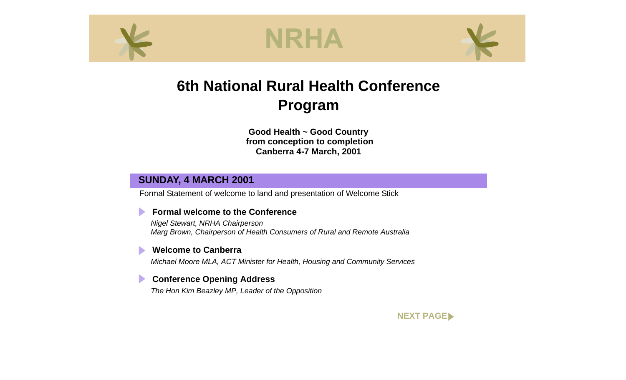<span id="page-0-0"></span>





### **6th National Rural Health Conference Program**

**Good Health ~ Good Country from conception to completion Canberra 4-7 March, 2001**

#### **SUNDAY, 4 MARCH 2001**

Formal Statement of welcome to land and presentation of Welcome Stick

#### **Formal welcome to the Conference**

*Nigel Stewart, NRHA Chairperson Marg Brown, Chairperson of Health Consumers of Rural and Remote Australia*

#### **Welcome to Canberra**

*Michael Moore MLA, ACT Minister for Health, Housing and Community Services*

#### **Conference Opening Address**

*The Hon Kim Beazley MP, Leader of the Opposition*

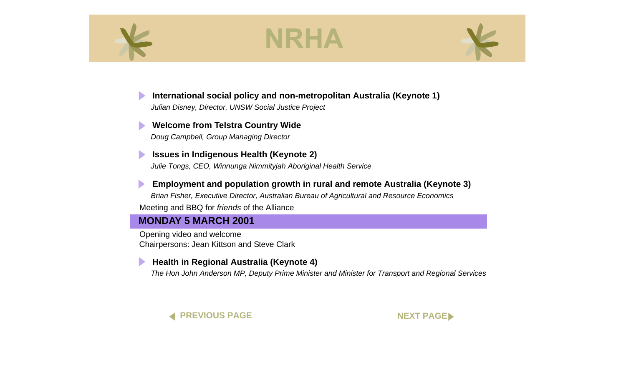<span id="page-1-0"></span>



### **[International social policy and non-metropolitan Australia \(Keynote 1\)](#page-0-0)**

*Julian Disney, Director, UNSW Social Justice Project*

#### **[Welcome from Telstra Country Wide](#page-0-0)** *Doug Campbell, Group Managing Director*

**[Issues in Indigenous Health \(Keynote 2\)](#page-0-0)**  *Julie Tongs, CEO, Winnunga Nimmityjah Aboriginal Health Service*

**[Employment and population growth in rural and remote Australia \(Keynote 3\)](#page-0-0)**  *Brian Fisher, Executive Director, Australian Bureau of Agricultural and Resource Economics* Meeting and BBQ for *friends* of the Alliance

#### **MONDAY 5 MARCH 2001**

Opening video and welcome Chairpersons: Jean Kittson and Steve Clark

#### **[Health in Regional Australia \(Keynote 4\)](#page-0-0)**

*The Hon John Anderson MP, Deputy Prime Minister and Minister for Transport and Regional Services*



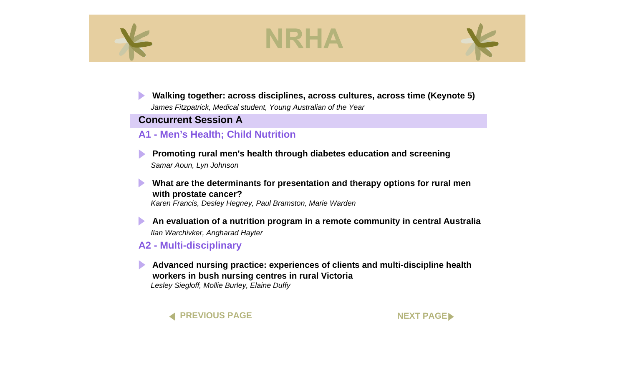<span id="page-2-0"></span>



### **[Walking together: across disciplines, across cultures, across time \(Keynote 5\)](#page-0-0)**

*James Fitzpatrick, Medical student, Young Australian of the Year*

#### **Concurrent Session A**

#### **A1 - Men's Health; Child Nutrition**

**[Promoting rural men's health through diabetes education and screening](#page-0-0)**  *Samar Aoun, Lyn Johnson*

**[What are the determinants for presentation and therapy options for rural men](#page-0-0)  with prostate cancer?** 

*Karen Francis, Desley Hegney, Paul Bramston, Marie Warden*

**[An evaluation of a nutrition program in a remote community in central Australia](#page-0-0)**  *Ilan Warchivker, Angharad Hayter*

**A2 - Multi-disciplinary**

**[Advanced nursing practice: experiences of clients and multi-discipline health](#page-0-0)  workers in bush nursing centres in rural Victoria**  *Lesley Siegloff, Mollie Burley, Elaine Duffy*



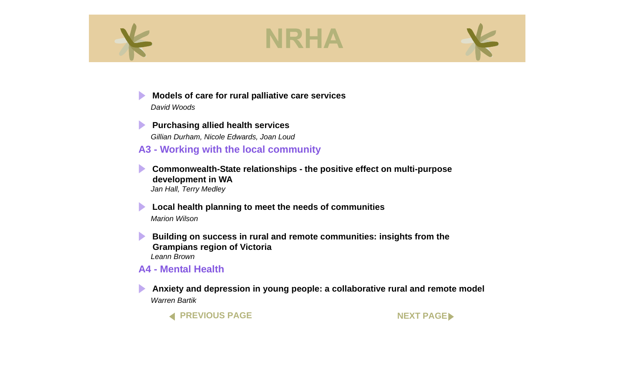<span id="page-3-0"></span>

 $\blacktriangleright$ 





**[Models of care for rural palliative care services](#page-0-0)**  *David Woods*

**Purchasing allied health services** *Gillian Durham, Nicole Edwards, Joan Loud*

**A3 - Working with the local community**

 $\blacktriangleright$ **[Commonwealth-State relationships - the positive effect on multi-purpose](#page-0-0)  development in WA**  *Jan Hall, Terry Medley*

**[Local health planning to meet the needs of communities](#page-0-0)**  *Marion Wilson*

**Building on success in rural and remote communities: insights from the Grampians region of Victoria**  *Leann Brown*

#### **A4 - Mental Health**

**[Anxiety and depression in young people: a collaborative rural and remote model](#page-0-0)** *Warren Bartik*

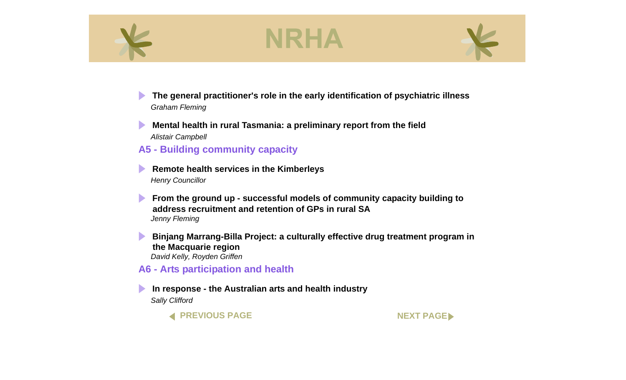<span id="page-4-0"></span>





 $\blacktriangleright$ **[The general practitioner's role in the early identification of psychiatric illness](#page-0-0)** *Graham Fleming*

 $\blacktriangleright$ **[Mental health in rural Tasmania: a preliminary report from the field](#page-0-0)** *Alistair Campbell*

#### **A5 - Building community capacity**

**[Remote health services in the Kimberleys](#page-0-0)**  *Henry Councillor*

**From the ground up - successful models of community capacity building to address recruitment and retention of GPs in rural SA**  *Jenny Fleming*

**[Binjang Marrang-Billa Project: a culturally effective drug treatment program in](#page-0-0)  the Macquarie region**  *David Kelly, Royden Griffen*

**A6 - Arts participation and health**

**[In response - the Australian arts and health industry](#page-0-0)**  *Sally Clifford*

**[PREVIOUS PAGE](#page-3-0) [NEXT PAGE](#page-5-0)**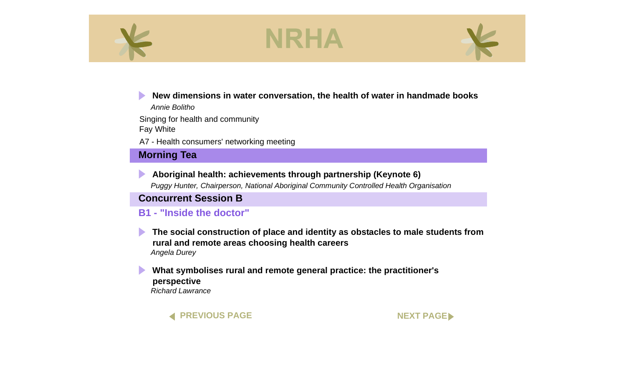<span id="page-5-0"></span>



#### **[New dimensions in water conversation, the health of water in handmade books](#page-0-0)**

*Annie Bolitho*

Singing for health and community Fay White

A7 - Health consumers' networking meeting

### **Morning Tea**



*Puggy Hunter, Chairperson, National Aboriginal Community Controlled Health Organisation*

#### **Concurrent Session B**

#### **B1 - "Inside the doctor"**



**[The social construction of place and identity as obstacles to male students from](#page-0-0)  rural and remote areas choosing health careers**  *Angela Durey*

#### **[What symbolises rural and remote general practice: the practitioner's](#page-0-0)  perspective**  *Richard Lawrance*

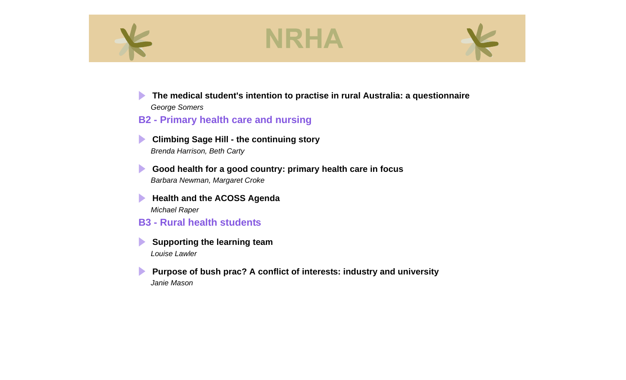<span id="page-6-0"></span>



 $\blacktriangleright$ **[The medical student's intention to practise in rural Australia: a questionnaire](#page-0-0)**  *George Somers*

**B2 - Primary health care and nursing**

 $\blacktriangleright$ **[Climbing Sage Hill - the continuing story](#page-0-0)**  *Brenda Harrison, Beth Carty*

 $\blacktriangleright$ **[Good health for a good country: primary health care in focus](#page-0-0)** *Barbara Newman, Margaret Croke*

 $\blacktriangleright$ **[Health and the ACOSS Agenda](#page-0-0)** *Michael Raper*

- **B3 Rural health students**
- $\blacktriangleright$ **[Supporting the learning team](#page-0-0)**  *Louise Lawler*

 $\blacktriangleright$ **[Purpose of bush prac? A conflict of interests: industry and university](#page-0-0)** *Janie Mason*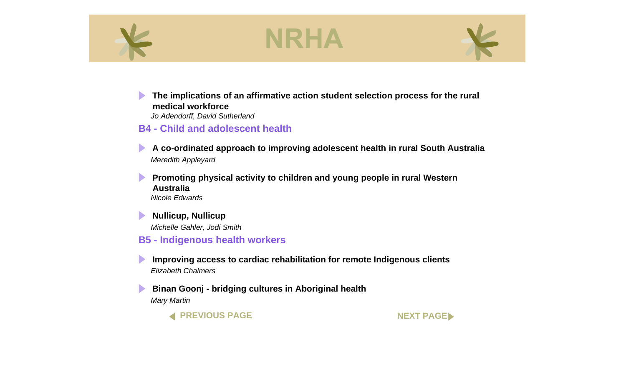<span id="page-7-0"></span>



 $\blacktriangleright$ **[The implications of an affirmative action student selection process for the rural](#page-0-0)  medical workforce** 

*Jo Adendorff, David Sutherland*

#### **B4 - Child and adolescent health**

**[A co-ordinated approach to improving adolescent health in rural South Australia](#page-0-0)**  *Meredith Appleyard*

 $\blacktriangleright$ **[Promoting physical activity to children and young people in rural Western](#page-0-0)  Australia**  *Nicole Edwards*

 $\blacktriangleright$ **[Nullicup, Nullicup](#page-0-0)**  *Michelle Gahler, Jodi Smith*

#### **B5 - Indigenous health workers**

**[Improving access to cardiac rehabilitation for remote Indigenous clients](#page-0-0)**  *Elizabeth Chalmers*

 $\blacktriangleright$ **[Binan Goonj - bridging cultures in Aboriginal health](#page-0-0)**  *Mary Martin*

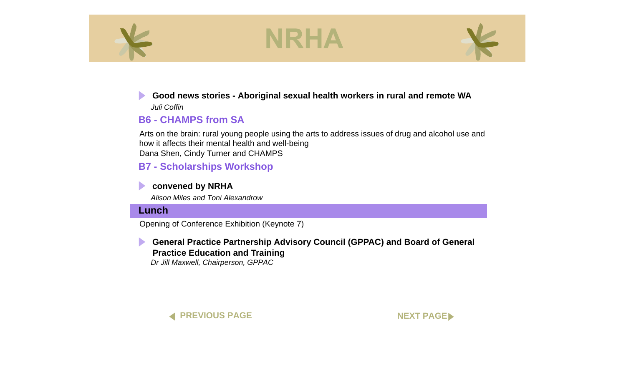<span id="page-8-0"></span>



### **[Good news stories - Aboriginal sexual health workers in rural and remote WA](#page-0-0)**

*Juli Coffin*

### **B6 - CHAMPS from SA**

Arts on the brain: rural young people using the arts to address issues of drug and alcohol use and how it affects their mental health and well-being Dana Shen, Cindy Turner and CHAMPS

### **B7 - Scholarships Workshop**

#### **[convened by NRHA](#page-0-0)**

*Alison Miles and Toni Alexandrow*

#### **Lunch**

Opening of Conference Exhibition (Keynote 7)



**[General Practice Partnership Advisory Council \(GPPAC\) and Board of General](#page-0-0)  Practice Education and Training** *Dr Jill Maxwell, Chairperson, GPPAC*



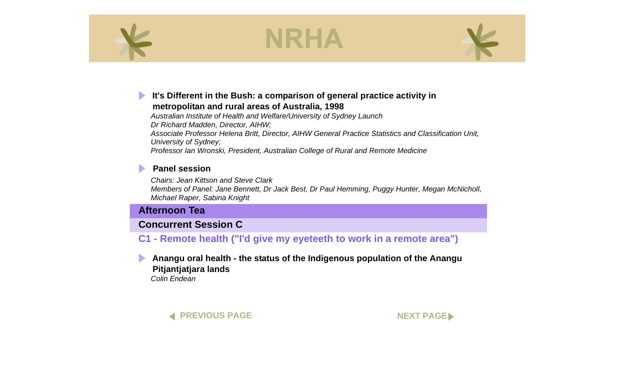<span id="page-9-0"></span>



#### **[It's Different in the Bush: a comparison of general practice activity in](#page-0-0)  metropolitan and rural areas of Australia, 1998**

*Australian Institute of Health and Welfare/University of Sydney Launch Dr Richard Madden, Director, AIHW; Associate Professor Helena Britt, Director, AIHW General Practice Statistics and Classification Unit, University of Sydney; Professor Ian Wronski, President, Australian College of Rural and Remote Medicine*

#### **[Panel session](#page-0-0)**

*Chairs: Jean Kittson and Steve Clark Members of Panel: Jane Bennett, Dr Jack Best, Dr Paul Hemming, Puggy Hunter, Megan McNicholl, Michael Raper, Sabina Knight*

#### **Afternoon Tea**

#### **Concurrent Session C**

#### **C1 - Remote health ("I'd give my eyeteeth to work in a remote area")**

**[Anangu oral health - the status of the Indigenous population of the Anangu](#page-0-0)  Pitjantjatjara lands**  *Colin Endean*



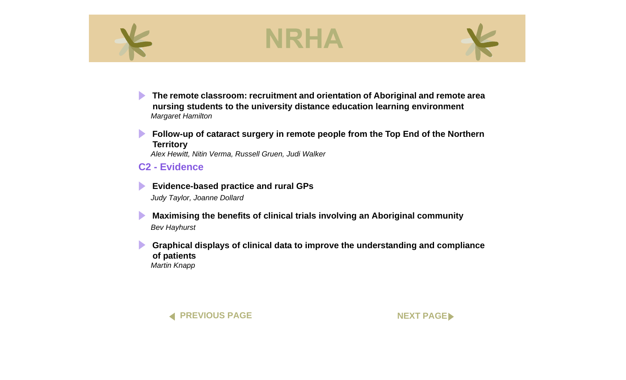<span id="page-10-0"></span>



**[The remote classroom: recruitment and orientation of Aboriginal and remote area](#page-0-0)  nursing students to the university distance education learning environment**  *Margaret Hamilton*

**Follow-up of cataract surgery in remote people from the Top End of the Northern Territory** 

*Alex Hewitt, Nitin Verma, Russell Gruen, Judi Walker*

**C2 - Evidence**

**[Evidence-based practice and rural GPs](#page-0-0)**  *Judy Taylor, Joanne Dollard*

 $\blacktriangleright$ **[Maximising the benefits of clinical trials involving an Aboriginal community](#page-0-0)**  *Bev Hayhurst*

 $\blacktriangleright$ **[Graphical displays of clinical data to improve the understanding and compliance](#page-0-0)  of patients**  *Martin Knapp*



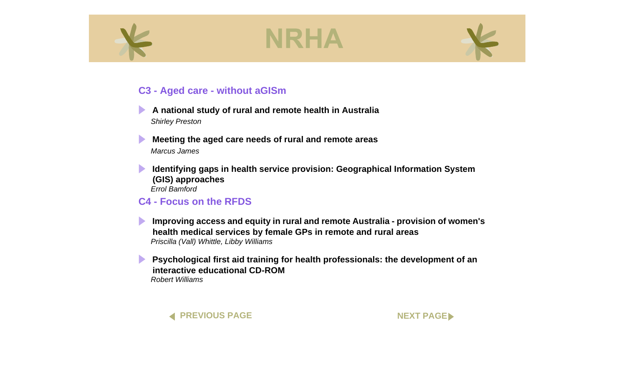<span id="page-11-0"></span>



#### **C3 - Aged care - without aGISm**



- $\blacktriangleright$ **[Meeting the aged care needs of rural and remote areas](#page-0-0)**  *Marcus James*
- $\blacktriangleright$ **[Identifying gaps in health service provision: Geographical Information System](#page-0-0)  (GIS) approaches**  *Errol Bamford*

### **C4 - Focus on the RFDS**

**[Improving access and equity in rural and remote Australia - provision of women's](#page-0-0)  health medical services by female GPs in remote and rural areas** *Priscilla (Vall) Whittle, Libby Williams*

**Psychological first aid training for health professionals: the development of an interactive educational CD-ROM**  *Robert Williams*



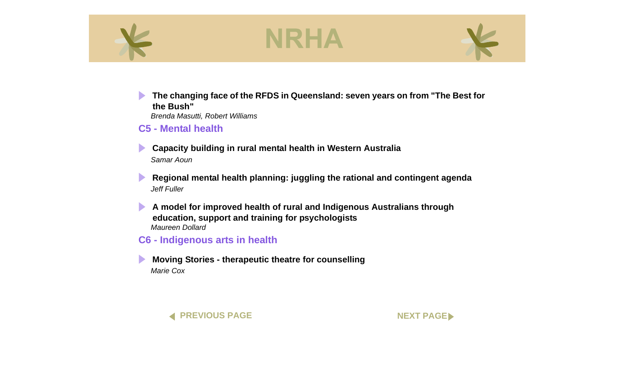<span id="page-12-0"></span>





 $\blacktriangleright$ **[The changing face of the RFDS in Queensland: seven years on from "The Best for](#page-0-0)  the Bush"**  *Brenda Masutti, Robert Williams*

**C5 - Mental health**

**[Capacity building in rural mental health in Western Australia](#page-0-0)** *Samar Aoun*

 $\blacktriangleright$ **[Regional mental health planning: juggling the rational and contingent agenda](#page-0-0)**  *Jeff Fuller*

 $\blacktriangleright$ **[A model for improved health of rural and Indigenous Australians through](#page-0-0)  education, support and training for psychologists**  *Maureen Dollard*

**C6 - Indigenous arts in health**

**[Moving Stories - therapeutic theatre for counselling](#page-0-0)**  *Marie Cox*



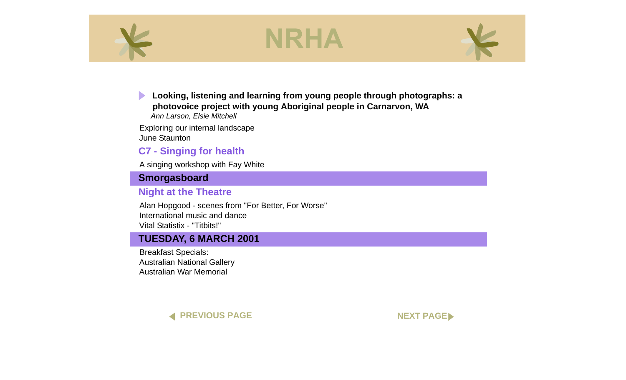<span id="page-13-0"></span>



**[Looking, listening and learning from young people through photographs: a](#page-0-0)  photovoice project with young Aboriginal people in Carnarvon, WA**

*Ann Larson, Elsie Mitchell*

Exploring our internal landscape June Staunton

### **C7 - Singing for health**

A singing workshop with Fay White

#### **Smorgasboard**

#### **Night at the Theatre**

Alan Hopgood - scenes from "For Better, For Worse" International music and dance Vital Statistix - "Titbits!"

#### **TUESDAY, 6 MARCH 2001**

Breakfast Specials: Australian National Gallery Australian War Memorial



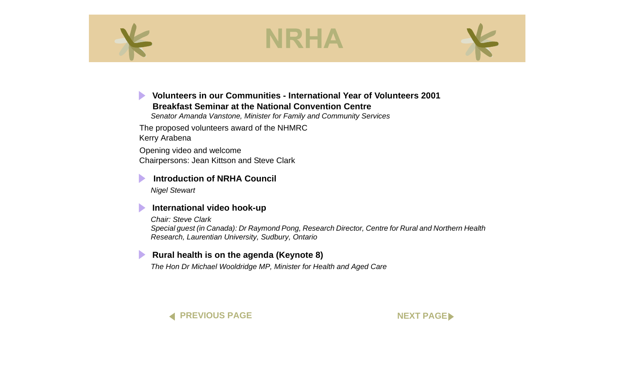<span id="page-14-0"></span>



#### **[Volunteers in our Communities - International Year of Volunteers 2001](#page-0-0) Breakfast Seminar at the National Convention Centre**

*Senator Amanda Vanstone, Minister for Family and Community Services*

The proposed volunteers award of the NHMRC Kerry Arabena

Opening video and welcome Chairpersons: Jean Kittson and Steve Clark

#### **[Introduction of NRHA Council](#page-0-0)**

*Nigel Stewart*

#### **[International video hook-up](#page-0-0)**

*Chair: Steve Clark Special guest (in Canada): Dr Raymond Pong, Research Director, Centre for Rural and Northern Health Research, Laurentian University, Sudbury, Ontario*

#### **[Rural health is on the agenda \(Keynote 8\)](#page-0-0)**

*The Hon Dr Michael Wooldridge MP, Minister for Health and Aged Care*



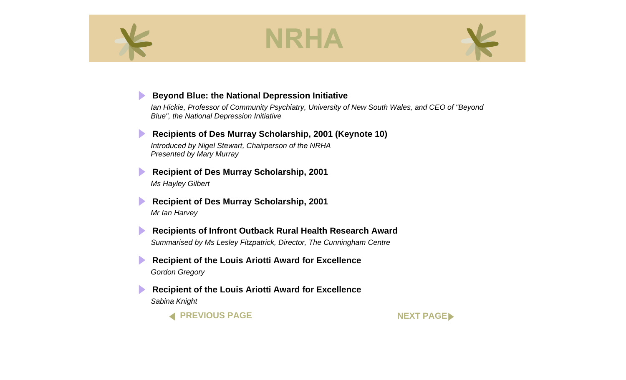<span id="page-15-0"></span>

D

 $\blacktriangleright$ 

# NRHA



#### **[Beyond Blue: the National Depression Initiative](#page-0-0)**

*Ian Hickie, Professor of Community Psychiatry, University of New South Wales, and CEO of "Beyond Blue", the National Depression Initiative*



*Presented by Mary Murray*

**[Recipient of Des Murray Scholarship, 2001](#page-0-0)** *Ms Hayley Gilbert* 

**[Recipient of Des Murray Scholarship, 2001](#page-0-0)** *Mr Ian Harvey*

**[Recipients of Infront Outback Rural Health Research Award](#page-0-0)** *Summarised by Ms Lesley Fitzpatrick, Director, The Cunningham Centre* 

 $\blacktriangleright$ **[Recipient of the Louis Ariotti Award for Excellence](#page-0-0)** *Gordon Gregory*

**[Recipient of the Louis Ariotti Award for Excellence](#page-0-0)** *Sabina Knight*

**[PREVIOUS PAGE](#page-14-0) [NEXT PAGE](#page-16-0)**

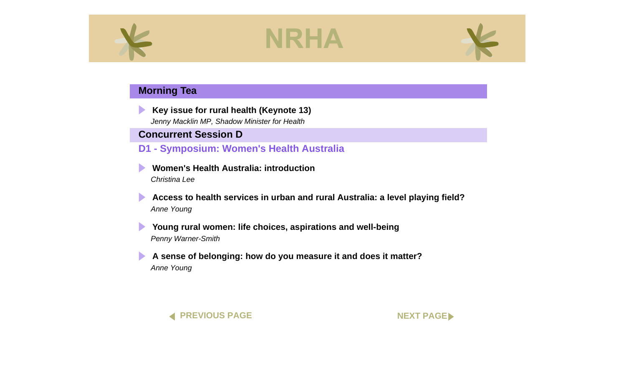<span id="page-16-0"></span>

D



#### **Morning Tea**

**[Key issue for rural health \(Keynote 13\)](#page-0-0)**

*Jenny Macklin MP, Shadow Minister for Health*

#### **Concurrent Session D**

**D1 - Symposium: Women's Health Australia**

**[Women's Health Australia: introduction](#page-0-0)**  *Christina Lee*

 $\blacktriangleright$ **[Access to health services in urban and rural Australia: a level playing field?](#page-0-0)**  *Anne Young*

**[Young rural women: life choices, aspirations and well-being](#page-0-0)**  $\blacktriangleright$ *Penny Warner-Smith*

**[A sense of belonging: how do you measure it and does it matter?](#page-0-0)** *Anne Young*



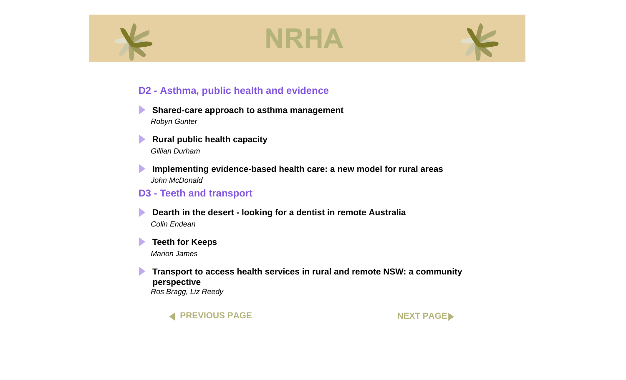<span id="page-17-0"></span>





#### **D2 - Asthma, public health and evidence**

- **[Shared-care approach to asthma management](#page-0-0)**  *Robyn Gunter*
- $\blacktriangleright$ **[Rural public health capacity](#page-0-0)**  *Gillian Durham*
- **[Implementing evidence-based health care: a new model for rural areas](#page-0-0)**  $\blacktriangleright$ *John McDonald*

#### **D3 - Teeth and transport**

- **[Dearth in the desert looking for a dentist in remote Australia](#page-0-0)** *Colin Endean*
- $\blacktriangleright$ **[Teeth for Keeps](#page-0-0)**  *Marion James*
- $\blacktriangleright$ **[Transport to access health services in rural and remote NSW: a community](#page-0-0)  perspective**  *Ros Bragg, Liz Reedy*



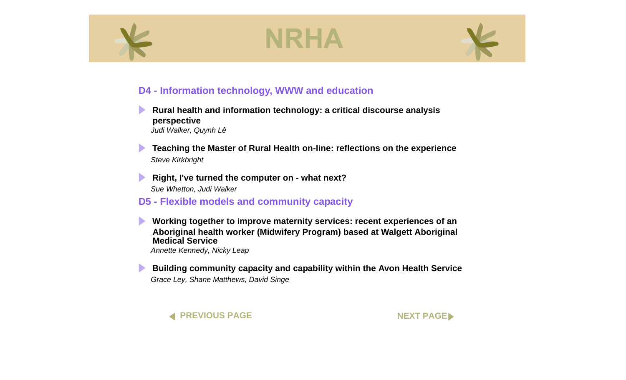<span id="page-18-0"></span>



#### **D4 - Information technology, WWW and education**

- **[Rural health and information technology: a critical discourse analysis](#page-0-0)  perspective**  *Judi Walker, Quynh Lê*
- **[Teaching the Master of Rural Health on-line: reflections on the experience](#page-0-0)** *Steve Kirkbright*
- $\blacktriangleright$ **[Right, I've turned the computer on - what next?](#page-0-0)** *Sue Whetton, Judi Walker*
- **D5 Flexible models and community capacity**
	- **Working together to improve maternity services: recent experiences of an [Aboriginal health worker \(Midwifery Program\) based at Walgett Aboriginal](#page-0-0)  Medical Service** *Annette Kennedy, Nicky Leap*
- **[Building community capacity and capability within the Avon Health Service](#page-0-0)**  *Grace Ley, Shane Matthews, David Singe*



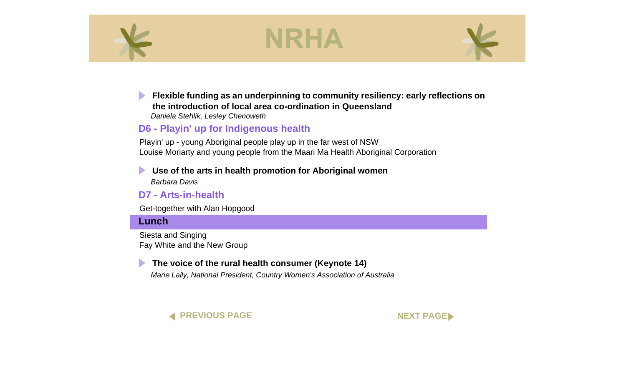<span id="page-19-0"></span>



 $\blacktriangleright$ **[Flexible funding as an underpinning to community resiliency: early reflections on](#page-0-0)  the introduction of local area co-ordination in Queensland**

*Daniela Stehlik, Lesley Chenoweth*

#### **D6 - Playin' up for Indigenous health**

Playin' up - young Aboriginal people play up in the far west of NSW Louise Moriarty and young people from the Maari Ma Health Aboriginal Corporation

**[Use of the arts in health promotion for Aboriginal women](#page-0-0)** 

*Barbara Davis*

#### **D7 - Arts-in-health**

Get-together with Alan Hopgood

#### **Lunch**

Siesta and Singing Fay White and the New Group

#### **[The voice of the rural health consumer \(Keynote 14\)](#page-0-0)**

*Marie Lally, National President, Country Women's Association of Australia*



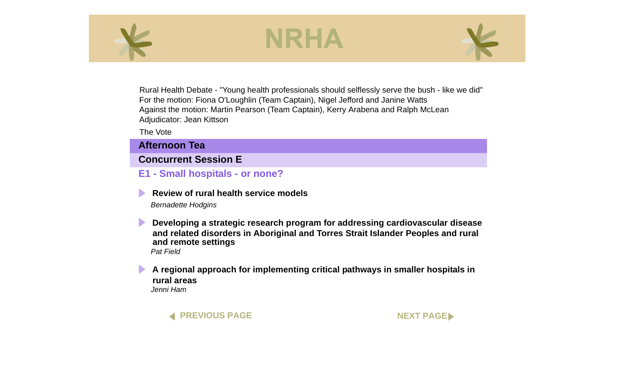<span id="page-20-0"></span>



Rural Health Debate - "Young health professionals should selflessly serve the bush - like we did" For the motion: Fiona O'Loughlin (Team Captain), Nigel Jefford and Janine Watts Against the motion: Martin Pearson (Team Captain), Kerry Arabena and Ralph McLean Adjudicator: Jean Kittson

The Vote

**Afternoon Tea**

#### **Concurrent Session E**

**E1 - Small hospitals - or none?**

**[Review of rural health service models](#page-0-0)**  *Bernadette Hodgins*

 $\blacktriangleright$ **Developing a strategic research program for addressing cardiovascular disease [and related disorders in Aboriginal and Torres Strait Islander Peoples and rural](#page-0-0)  and remote settings**  *Pat Field*

 $\blacktriangleright$ **[A regional approach for implementing critical pathways in smaller hospitals in](#page-0-0)  rural areas**  *Jenni Ham*

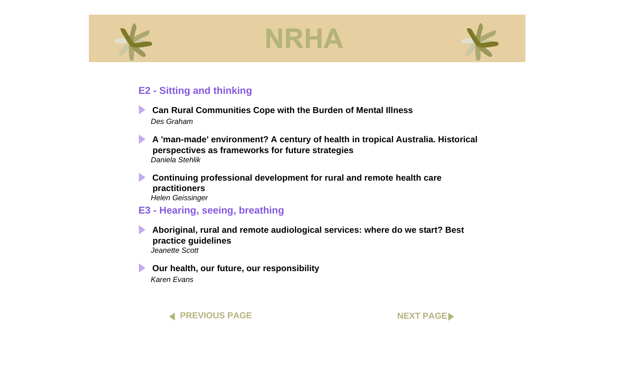<span id="page-21-0"></span>



#### **E2 - Sitting and thinking**

- **[Can Rural Communities Cope with the Burden of Mental Illness](#page-0-0)**  *Des Graham*
- **[A 'man-made' environment? A century of health in tropical Australia. Historical](#page-0-0)  perspectives as frameworks for future strategies**  *Daniela Stehlik*
- $\blacktriangleright$ **[Continuing professional development for rural and remote health care](#page-0-0)  practitioners**  *Helen Geissinger*

#### **E3 - Hearing, seeing, breathing**

- **[Aboriginal, rural and remote audiological services: where do we start? Best](#page-0-0)  practice guidelines** *Jeanette Scott*
- **[Our health, our future, our responsibility](#page-0-0)**  *Karen Evans*

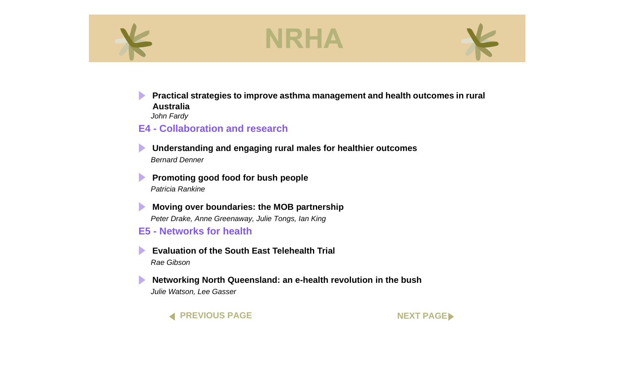<span id="page-22-0"></span>



 $\blacktriangleright$ **[Practical strategies to improve asthma management and health outcomes in rural](#page-0-0)  Australia**  *John Fardy*

#### **E4 - Collaboration and research**

**[Understanding and engaging rural males for healthier outcomes](#page-0-0)**  *Bernard Denner*

 $\blacktriangleright$ **[Promoting good food for bush people](#page-0-0)**  *Patricia Rankine*

 $\blacktriangleright$ **[Moving over boundaries: the MOB partnership](#page-0-0)** *Peter Drake, Anne Greenaway, Julie Tongs, Ian King*

**E5 - Networks for health**

**[Evaluation of the South East Telehealth Trial](#page-0-0)**  *Rae Gibson*

 $\blacktriangleright$ **[Networking North Queensland: an e-health revolution in the bush](#page-0-0)** *Julie Watson, Lee Gasser*

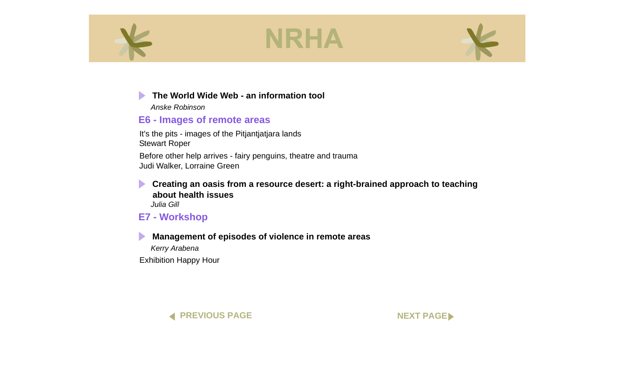<span id="page-23-0"></span>





#### **[The World Wide Web - an information tool](#page-0-0)**

*Anske Robinson*

### **E6 - Images of remote areas**

It's the pits - images of the Pitjantjatjara lands Stewart Roper

Before other help arrives - fairy penguins, theatre and trauma Judi Walker, Lorraine Green

**[Creating an oasis from a resource desert: a right-brained approach to teaching](#page-0-0)  about health issues**  *Julia Gill*

**E7 - Workshop**

### **[Management of episodes of violence in remote areas](#page-0-0)**

*Kerry Arabena*

Exhibition Happy Hour



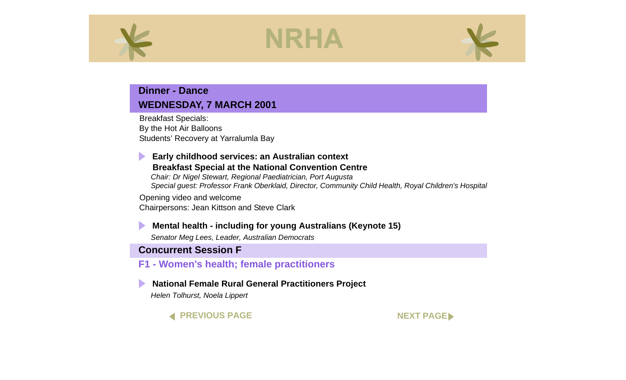<span id="page-24-0"></span>

#### **Dinner - Dance WEDNESDAY, 7 MARCH 2001**

Breakfast Specials: By the Hot Air Balloons Students' Recovery at Yarralumla Bay

#### **Early childhood services: an Australian context [Breakfast Special at the National Convention Centre](#page-0-0)**

*Chair: Dr Nigel Stewart, Regional Paediatrician, Port Augusta Special guest: Professor Frank Oberklaid, Director, Community Child Health, Royal Children's Hospital*

Opening video and welcome Chairpersons: Jean Kittson and Steve Clark

#### **[Mental health - including for young Australians \(Keynote 15\)](#page-0-0)**

*Senator Meg Lees, Leader, Australian Democrats*

#### **Concurrent Session F**

#### **F1 - Women's health; female practitioners**

#### **[National Female Rural General Practitioners Project](#page-0-0)**

*Helen Tolhurst, Noela Lippert*

#### **[PREVIOUS PAGE](#page-23-0) [NEXT PAGE](#page-25-0)**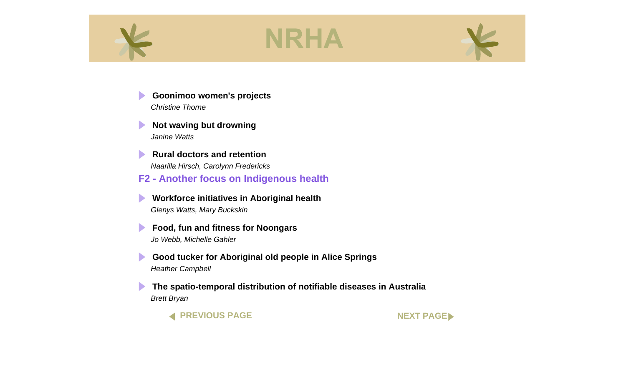<span id="page-25-0"></span>

D

 $\blacktriangleright$ 





 $\blacktriangleright$ **[Not waving but drowning](#page-0-0)** *Janine Watts*

**[Rural doctors and retention](#page-0-0)**  *Naarilla Hirsch, Carolynn Fredericks* **F2 - Another focus on Indigenous health**

**[Workforce initiatives in Aboriginal health](#page-0-0)**  *Glenys Watts, Mary Buckskin*

**[Food, fun and fitness for Noongars](#page-0-0)**   $\blacktriangleright$ *Jo Webb, Michelle Gahler*

**[Good tucker for Aboriginal old people in Alice Springs](#page-0-0)** *Heather Campbell*

**[The spatio-temporal distribution of notifiable diseases in Australia](#page-0-0)** *Brett Bryan*

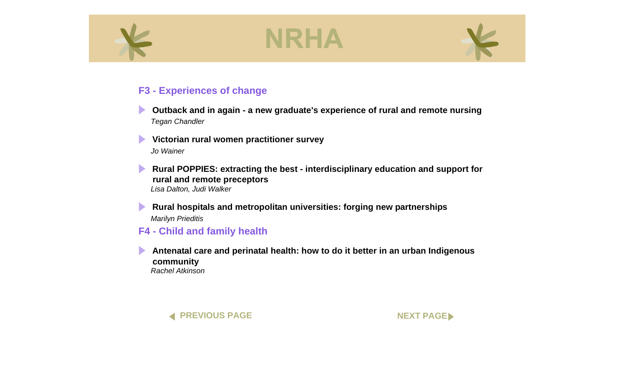<span id="page-26-0"></span>



#### **F3 - Experiences of change**

- **[Outback and in again a new graduate's experience of rural and remote nursing](#page-0-0)**  *Tegan Chandler*
- **[Victorian rural women practitioner survey](#page-0-0)**  *Jo Wainer*
- $\blacktriangleright$ **[Rural POPPIES: extracting the best - interdisciplinary education and support for](#page-0-0)  rural and remote preceptors**  *Lisa Dalton, Judi Walker*
- **[Rural hospitals and metropolitan universities: forging new partnerships](#page-0-0)** *Marilyn Prieditis*

#### **F4 - Child and family health**

**[Antenatal care and perinatal health: how to do it better in an urban Indigenous](#page-0-0)  community** 

*Rachel Atkinson*



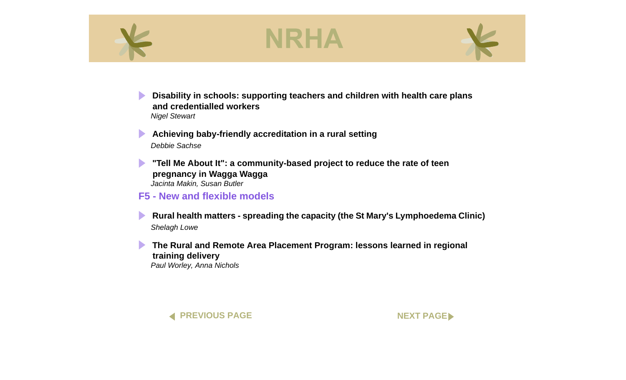<span id="page-27-0"></span>



 $\blacktriangleright$ **[Disability in schools: supporting teachers and children with health care plans](#page-0-0)  and credentialled workers**  *Nigel Stewart*

**[Achieving baby-friendly accreditation in a rural setting](#page-0-0)**   $\blacktriangleright$ *Debbie Sachse*

**["Tell Me About It": a community-based project to reduce the rate of teen](#page-0-0)  pregnancy in Wagga Wagga**  *Jacinta Makin, Susan Butler*

#### **F5 - New and flexible models**

 $\blacktriangleright$ **[Rural health matters - spreading the capacity \(the St Mary's Lymphoedema Clinic\)](#page-0-0)**  *Shelagh Lowe*

**[The Rural and Remote Area Placement Program: lessons learned in regional](#page-0-0)  training delivery** 

*Paul Worley, Anna Nichols*



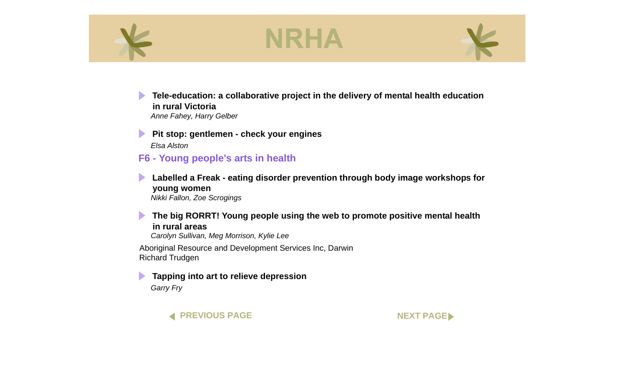<span id="page-28-0"></span>



 $\blacktriangleright$ **[Tele-education: a collaborative project in the delivery of mental health education](#page-0-0)  in rural Victoria**  *Anne Fahey, Harry Gelber*

**Pit stop: gentlemen - check your engines** *Elsa Alston*

#### **F6 - Young people's arts in health**

**[Labelled a Freak - eating disorder prevention through body image workshops for](#page-0-0)  young women**  *Nikki Fallon, Zoe Scrogings*

 $\blacktriangleright$ **[The big RORRT! Young people using the web to promote positive mental health](#page-0-0)  in rural areas**  *Carolyn Sullivan, Meg Morrison, Kylie Lee* Aboriginal Resource and Development Services Inc, Darwin Richard Trudgen

**[Tapping into art to relieve depression](#page-0-0)**  *Garry Fry*



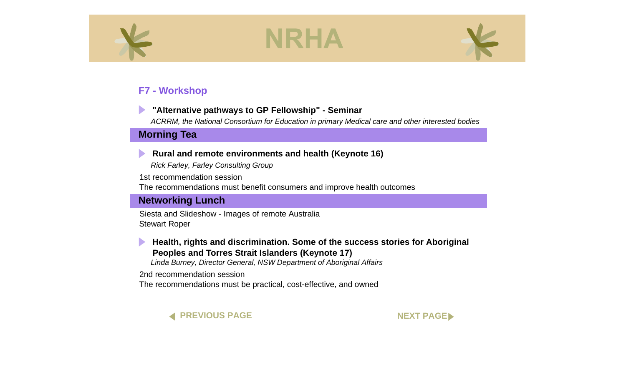<span id="page-29-0"></span>



### **F7 - Workshop**

#### **["Alternative pathways to GP Fellowship" - Seminar](#page-0-0)**

*ACRRM, the National Consortium for Education in primary Medical care and other interested bodies*

#### **Morning Tea**

#### **[Rural and remote environments and health \(Keynote 16\)](#page-0-0)**

*Rick Farley, Farley Consulting Group*

1st recommendation session The recommendations must benefit consumers and improve health outcomes

#### **Networking Lunch**

Siesta and Slideshow - Images of remote Australia Stewart Roper



**[Health, rights and discrimination. Some of the success stories for Aboriginal](#page-0-0)  Peoples and Torres Strait Islanders (Keynote 17)**

*Linda Burney, Director General, NSW Department of Aboriginal Affairs*

2nd recommendation session

The recommendations must be practical, cost-effective, and owned



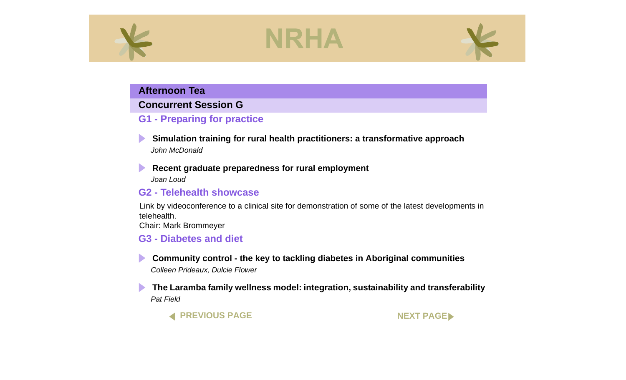

#### <span id="page-30-0"></span>**Afternoon Tea**

#### **Concurrent Session G**

### **G1 - Preparing for practice**

**[Simulation training for rural health practitioners: a transformative approach](#page-0-0)**  *John McDonald*

**[Recent graduate preparedness for rural employment](#page-0-0)** 

*Joan Loud*

 $\blacktriangleright$ 

#### **G2 - Telehealth showcase**

Link by videoconference to a clinical site for demonstration of some of the latest developments in telehealth.

Chair: Mark Brommeyer

#### **G3 - Diabetes and diet**

**[Community control - the key to tackling diabetes in Aboriginal communities](#page-0-0)**  *Colleen Prideaux, Dulcie Flower*

**[The Laramba family wellness model: integration, sustainability and transferability](#page-0-0)**  *Pat Field*

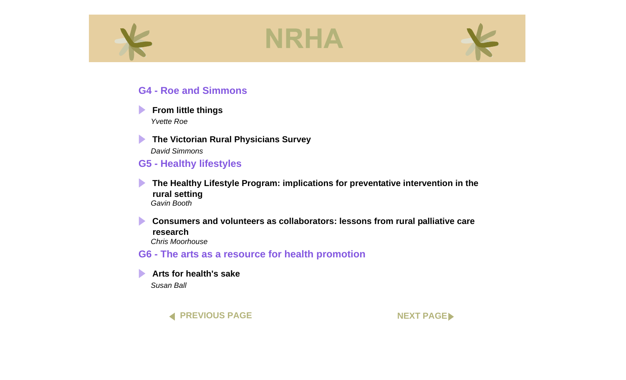<span id="page-31-0"></span>



#### **G4 - Roe and Simmons**



#### **[From little things](#page-0-0)**

*Yvette Roe*

**The Victorian Rural Physicians Survey** *David Simmons*

#### **G5 - Healthy lifestyles**

 $\blacktriangleright$ **[The Healthy Lifestyle Program: implications for preventative intervention in the](#page-0-0)  rural setting**  *Gavin Booth*

 $\blacktriangleright$ **[Consumers and volunteers as collaborators: lessons from rural palliative care](#page-0-0)  research**  *Chris Moorhouse*

**G6 - The arts as a resource for health promotion**

**[Arts for health's sake](#page-0-0)**  *Susan Ball*